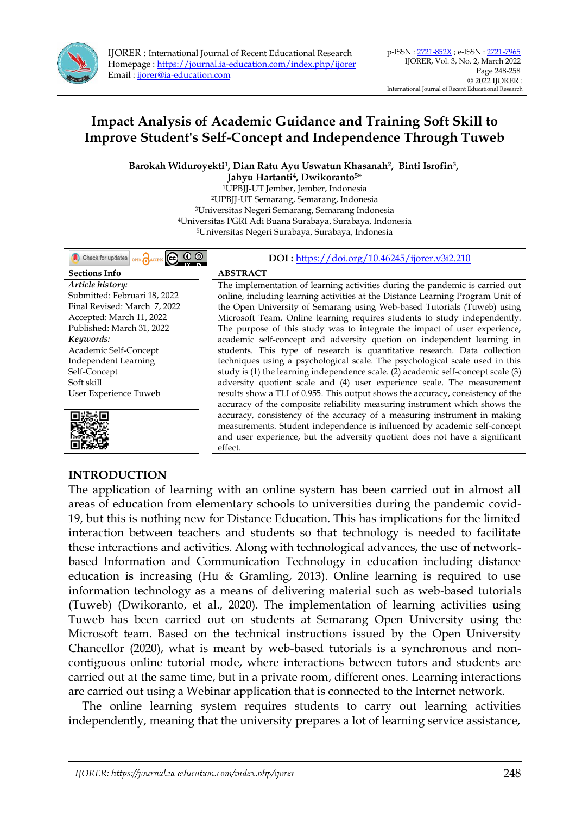

Barokah Widuroyekti<sup>1</sup>, Dian Ratu Ayu Uswatun Khasanah<sup>2</sup>, Binti Isrofin<sup>3</sup>,

**Jahyu Hartanti<sup>4</sup> , Dwikoranto5\*** UPBJJ-UT Jember, Jember, Indonesia UPBJJ-UT Semarang, Semarang, Indonesia Universitas Negeri Semarang, Semarang Indonesia Universitas PGRI Adi Buana Surabaya, Surabaya, Indonesia Universitas Negeri Surabaya, Surabaya, Indonesia

| Check for updates<br>OPEN ACCI | DOI: https://doi.org/10.46245/ijorer.v3i2.210                                     |
|--------------------------------|-----------------------------------------------------------------------------------|
| <b>Sections Info</b>           | <b>ABSTRACT</b>                                                                   |
| Article history:               | The implementation of learning activities during the pandemic is carried out      |
| Submitted: Februari 18, 2022   | online, including learning activities at the Distance Learning Program Unit of    |
| Final Revised: March 7, 2022   | the Open University of Semarang using Web-based Tutorials (Tuweb) using           |
| Accepted: March 11, 2022       | Microsoft Team. Online learning requires students to study independently.         |
| Published: March 31, 2022      | The purpose of this study was to integrate the impact of user experience,         |
| Keywords:                      | academic self-concept and adversity quetion on independent learning in            |
| Academic Self-Concept          | students. This type of research is quantitative research. Data collection         |
| Independent Learning           | techniques using a psychological scale. The psychological scale used in this      |
| Self-Concept                   | study is (1) the learning independence scale. (2) academic self-concept scale (3) |
| Soft skill                     | adversity quotient scale and (4) user experience scale. The measurement           |
| User Experience Tuweb          | results show a TLI of 0.955. This output shows the accuracy, consistency of the   |
|                                | accuracy of the composite reliability measuring instrument which shows the        |
|                                | accuracy, consistency of the accuracy of a measuring instrument in making         |
|                                | measurements. Student independence is influenced by academic self-concept         |
|                                | and user experience, but the adversity quotient does not have a significant       |
|                                | effect.                                                                           |

## **INTRODUCTION**

The application of learning with an online system has been carried out in almost all areas of education from elementary schools to universities during the pandemic covid-19, but this is nothing new for Distance Education. This has implications for the limited interaction between teachers and students so that technology is needed to facilitate these interactions and activities. Along with technological advances, the use of networkbased Information and Communication Technology in education including distance education is increasing (Hu & Gramling, 2013). Online learning is required to use information technology as a means of delivering material such as web-based tutorials (Tuweb) (Dwikoranto, et al., 2020). The implementation of learning activities using Tuweb has been carried out on students at Semarang Open University using the Microsoft team. Based on the technical instructions issued by the Open University Chancellor (2020), what is meant by web-based tutorials is a synchronous and noncontiguous online tutorial mode, where interactions between tutors and students are carried out at the same time, but in a private room, different ones. Learning interactions are carried out using a Webinar application that is connected to the Internet network.

The online learning system requires students to carry out learning activities independently, meaning that the university prepares a lot of learning service assistance,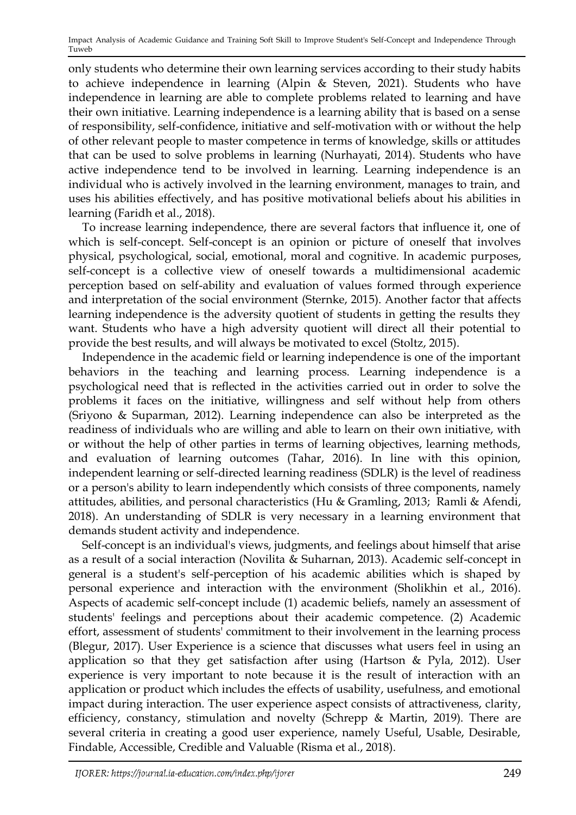only students who determine their own learning services according to their study habits to achieve independence in learning (Alpin & Steven, 2021). Students who have independence in learning are able to complete problems related to learning and have their own initiative. Learning independence is a learning ability that is based on a sense of responsibility, self-confidence, initiative and self-motivation with or without the help of other relevant people to master competence in terms of knowledge, skills or attitudes that can be used to solve problems in learning (Nurhayati, 2014). Students who have active independence tend to be involved in learning. Learning independence is an individual who is actively involved in the learning environment, manages to train, and uses his abilities effectively, and has positive motivational beliefs about his abilities in learning (Faridh et al., 2018).

To increase learning independence, there are several factors that influence it, one of which is self-concept. Self-concept is an opinion or picture of oneself that involves physical, psychological, social, emotional, moral and cognitive. In academic purposes, self-concept is a collective view of oneself towards a multidimensional academic perception based on self-ability and evaluation of values formed through experience and interpretation of the social environment (Sternke, 2015). Another factor that affects learning independence is the adversity quotient of students in getting the results they want. Students who have a high adversity quotient will direct all their potential to provide the best results, and will always be motivated to excel (Stoltz, 2015).

Independence in the academic field or learning independence is one of the important behaviors in the teaching and learning process. Learning independence is a psychological need that is reflected in the activities carried out in order to solve the problems it faces on the initiative, willingness and self without help from others (Sriyono & Suparman, 2012). Learning independence can also be interpreted as the readiness of individuals who are willing and able to learn on their own initiative, with or without the help of other parties in terms of learning objectives, learning methods, and evaluation of learning outcomes (Tahar, 2016). In line with this opinion, independent learning or self-directed learning readiness (SDLR) is the level of readiness or a person's ability to learn independently which consists of three components, namely attitudes, abilities, and personal characteristics (Hu & Gramling, 2013; Ramli & Afendi, 2018). An understanding of SDLR is very necessary in a learning environment that demands student activity and independence.

Self-concept is an individual's views, judgments, and feelings about himself that arise as a result of a social interaction (Novilita & Suharnan, 2013). Academic self-concept in general is a student's self-perception of his academic abilities which is shaped by personal experience and interaction with the environment (Sholikhin et al., 2016). Aspects of academic self-concept include (1) academic beliefs, namely an assessment of students' feelings and perceptions about their academic competence. (2) Academic effort, assessment of students' commitment to their involvement in the learning process (Blegur, 2017). User Experience is a science that discusses what users feel in using an application so that they get satisfaction after using (Hartson & Pyla, 2012). User experience is very important to note because it is the result of interaction with an application or product which includes the effects of usability, usefulness, and emotional impact during interaction. The user experience aspect consists of attractiveness, clarity, efficiency, constancy, stimulation and novelty (Schrepp & Martin, 2019). There are several criteria in creating a good user experience, namely Useful, Usable, Desirable, Findable, Accessible, Credible and Valuable (Risma et al., 2018).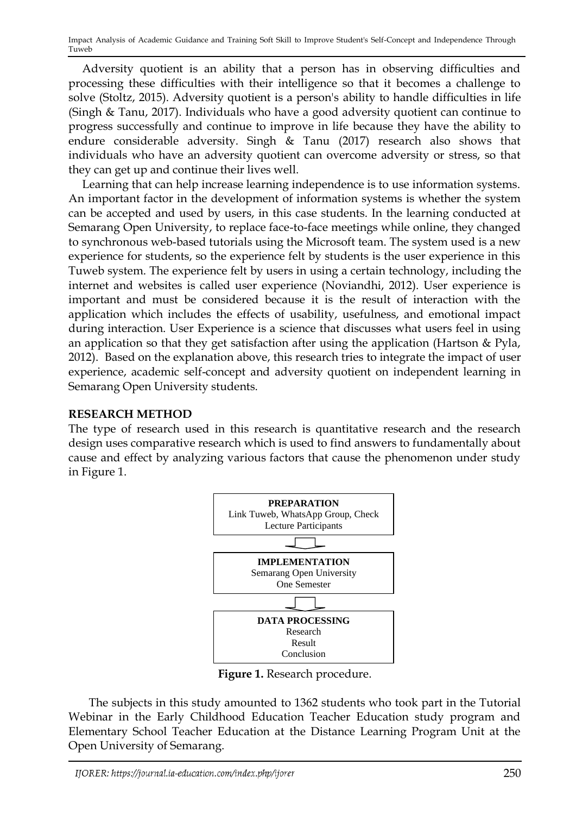Adversity quotient is an ability that a person has in observing difficulties and processing these difficulties with their intelligence so that it becomes a challenge to solve (Stoltz, 2015). Adversity quotient is a person's ability to handle difficulties in life (Singh & Tanu, 2017). Individuals who have a good adversity quotient can continue to progress successfully and continue to improve in life because they have the ability to endure considerable adversity. Singh & Tanu (2017) research also shows that individuals who have an adversity quotient can overcome adversity or stress, so that they can get up and continue their lives well.

Learning that can help increase learning independence is to use information systems. An important factor in the development of information systems is whether the system can be accepted and used by users, in this case students. In the learning conducted at Semarang Open University, to replace face-to-face meetings while online, they changed to synchronous web-based tutorials using the Microsoft team. The system used is a new experience for students, so the experience felt by students is the user experience in this Tuweb system. The experience felt by users in using a certain technology, including the internet and websites is called user experience (Noviandhi, 2012). User experience is important and must be considered because it is the result of interaction with the application which includes the effects of usability, usefulness, and emotional impact during interaction. User Experience is a science that discusses what users feel in using an application so that they get satisfaction after using the application (Hartson & Pyla, 2012). Based on the explanation above, this research tries to integrate the impact of user experience, academic self-concept and adversity quotient on independent learning in Semarang Open University students.

### **RESEARCH METHOD**

The type of research used in this research is quantitative research and the research design uses comparative research which is used to find answers to fundamentally about cause and effect by analyzing various factors that cause the phenomenon under study in Figure 1.



**Figure 1.** Research procedure.

 The subjects in this study amounted to 1362 students who took part in the Tutorial Webinar in the Early Childhood Education Teacher Education study program and Elementary School Teacher Education at the Distance Learning Program Unit at the Open University of Semarang.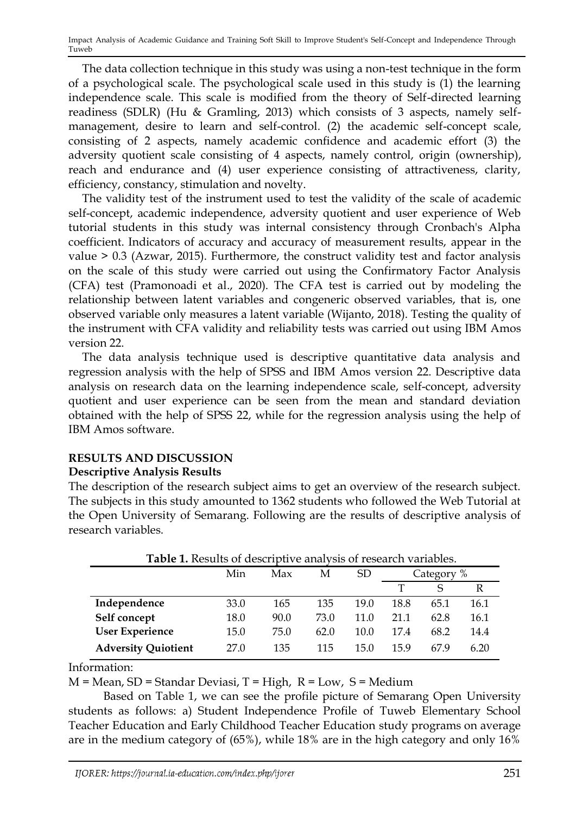The data collection technique in this study was using a non-test technique in the form of a psychological scale. The psychological scale used in this study is (1) the learning independence scale. This scale is modified from the theory of Self-directed learning readiness (SDLR) (Hu & Gramling, 2013) which consists of 3 aspects, namely selfmanagement, desire to learn and self-control. (2) the academic self-concept scale, consisting of 2 aspects, namely academic confidence and academic effort (3) the adversity quotient scale consisting of 4 aspects, namely control, origin (ownership), reach and endurance and (4) user experience consisting of attractiveness, clarity, efficiency, constancy, stimulation and novelty.

The validity test of the instrument used to test the validity of the scale of academic self-concept, academic independence, adversity quotient and user experience of Web tutorial students in this study was internal consistency through Cronbach's Alpha coefficient. Indicators of accuracy and accuracy of measurement results, appear in the value > 0.3 (Azwar, 2015). Furthermore, the construct validity test and factor analysis on the scale of this study were carried out using the Confirmatory Factor Analysis (CFA) test (Pramonoadi et al., 2020). The CFA test is carried out by modeling the relationship between latent variables and congeneric observed variables, that is, one observed variable only measures a latent variable (Wijanto, 2018). Testing the quality of the instrument with CFA validity and reliability tests was carried out using IBM Amos version 22.

The data analysis technique used is descriptive quantitative data analysis and regression analysis with the help of SPSS and IBM Amos version 22. Descriptive data analysis on research data on the learning independence scale, self-concept, adversity quotient and user experience can be seen from the mean and standard deviation obtained with the help of SPSS 22, while for the regression analysis using the help of IBM Amos software.

### **RESULTS AND DISCUSSION**

### **Descriptive Analysis Results**

The description of the research subject aims to get an overview of the research subject. The subjects in this study amounted to 1362 students who followed the Web Tutorial at the Open University of Semarang. Following are the results of descriptive analysis of research variables.

| <b>I avic I.</b> Results by describitive analysis of research variables. |      |      |      |      |            |      |      |
|--------------------------------------------------------------------------|------|------|------|------|------------|------|------|
|                                                                          | Min  | Max  | М    | SD.  | Category % |      |      |
|                                                                          |      |      |      |      |            |      |      |
| Independence                                                             | 33.0 | 165  | 135  | 19.0 | 18.8       | 65.1 | 16.1 |
| Self concept                                                             | 18.0 | 90.0 | 73.0 | 11.0 | 21.1       | 62.8 | 16.1 |
| <b>User Experience</b>                                                   | 15.0 | 75.0 | 62.0 | 10.0 | 17.4       | 68.2 | 14.4 |
| <b>Adversity Quiotient</b>                                               | 27.0 | 135  | 115  | 15.0 | 159        | 679  | 6.20 |

**Table 1.** Results of descriptive analysis of research variables.

Information:

 $M = Mean$ , SD = Standar Deviasi, T = High, R = Low, S = Medium

Based on Table 1, we can see the profile picture of Semarang Open University students as follows: a) Student Independence Profile of Tuweb Elementary School Teacher Education and Early Childhood Teacher Education study programs on average are in the medium category of (65%), while 18% are in the high category and only 16%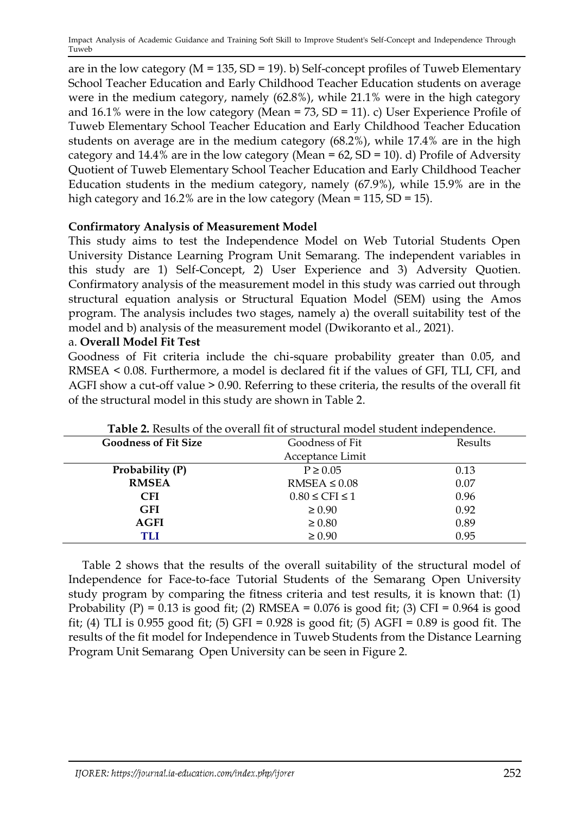are in the low category ( $M = 135$ ,  $SD = 19$ ). b) Self-concept profiles of Tuweb Elementary School Teacher Education and Early Childhood Teacher Education students on average were in the medium category, namely (62.8%), while 21.1% were in the high category and  $16.1\%$  were in the low category (Mean = 73, SD = 11). c) User Experience Profile of Tuweb Elementary School Teacher Education and Early Childhood Teacher Education students on average are in the medium category (68.2%), while 17.4% are in the high category and  $14.4\%$  are in the low category (Mean = 62, SD = 10). d) Profile of Adversity Quotient of Tuweb Elementary School Teacher Education and Early Childhood Teacher Education students in the medium category, namely (67.9%), while 15.9% are in the high category and 16.2% are in the low category (Mean = 115, SD = 15).

## **Confirmatory Analysis of Measurement Model**

This study aims to test the Independence Model on Web Tutorial Students Open University Distance Learning Program Unit Semarang. The independent variables in this study are 1) Self-Concept, 2) User Experience and 3) Adversity Quotien. Confirmatory analysis of the measurement model in this study was carried out through structural equation analysis or Structural Equation Model (SEM) using the Amos program. The analysis includes two stages, namely a) the overall suitability test of the model and b) analysis of the measurement model (Dwikoranto et al., 2021).

### a. **Overall Model Fit Test**

Goodness of Fit criteria include the chi-square probability greater than 0.05, and RMSEA < 0.08. Furthermore, a model is declared fit if the values of GFI, TLI, CFI, and AGFI show a cut-off value > 0.90. Referring to these criteria, the results of the overall fit of the structural model in this study are shown in Table 2.

| <b>Table 2.</b> Results of the overall fit of structural model student independence. |                        |         |  |  |  |
|--------------------------------------------------------------------------------------|------------------------|---------|--|--|--|
| <b>Goodness of Fit Size</b>                                                          | Goodness of Fit        | Results |  |  |  |
|                                                                                      | Acceptance Limit       |         |  |  |  |
| Probability (P)                                                                      | $P \geq 0.05$          | 0.13    |  |  |  |
| <b>RMSEA</b>                                                                         | $RMSEA \leq 0.08$      | 0.07    |  |  |  |
| <b>CFI</b>                                                                           | $0.80 \leq CFI \leq 1$ | 0.96    |  |  |  |
| <b>GFI</b>                                                                           | $\geq 0.90$            | 0.92    |  |  |  |
| <b>AGFI</b>                                                                          | $\geq 0.80$            | 0.89    |  |  |  |
| TLI                                                                                  | $\geq 0.90$            | 0.95    |  |  |  |

**Table 2.** Results of the overall fit of structural model student independence.

Table 2 shows that the results of the overall suitability of the structural model of Independence for Face-to-face Tutorial Students of the Semarang Open University study program by comparing the fitness criteria and test results, it is known that: (1) Probability  $(P) = 0.13$  is good fit;  $(2)$  RMSEA = 0.076 is good fit;  $(3)$  CFI = 0.964 is good fit; (4) TLI is 0.955 good fit; (5) GFI = 0.928 is good fit; (5) AGFI = 0.89 is good fit. The results of the fit model for Independence in Tuweb Students from the Distance Learning Program Unit Semarang Open University can be seen in Figure 2.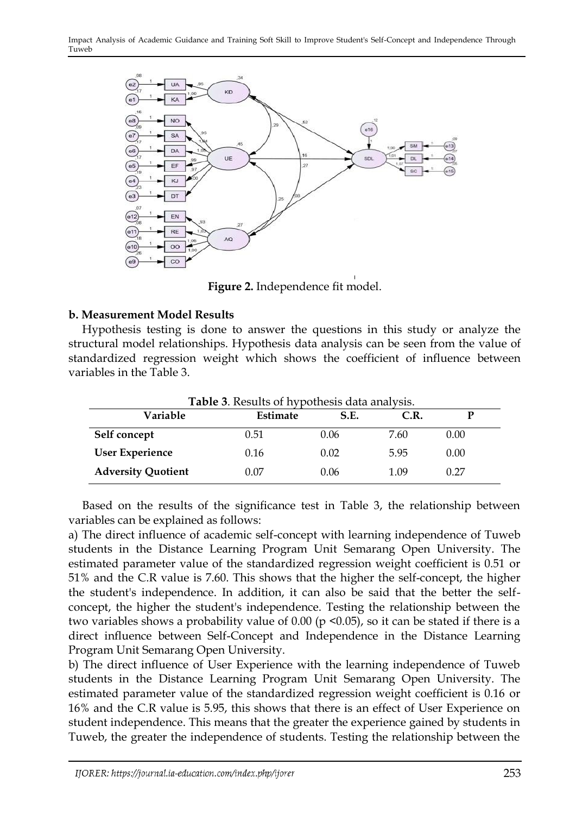

**Figure 2.** Independence fit model.

## **b. Measurement Model Results**

Hypothesis testing is done to answer the questions in this study or analyze the structural model relationships. Hypothesis data analysis can be seen from the value of standardized regression weight which shows the coefficient of influence between variables in the Table 3.

| Variable                  | Estimate | S.E. | C.R. | p    |
|---------------------------|----------|------|------|------|
| Self concept              | 0.51     | 0.06 | 7.60 | 0.00 |
| <b>User Experience</b>    | 0.16     | 0.02 | 5.95 | 0.00 |
| <b>Adversity Quotient</b> | 0.07     | 0.06 | 1.09 | 0.27 |

**Table 3**. Results of hypothesis data analysis.

Based on the results of the significance test in Table 3, the relationship between variables can be explained as follows:

a) The direct influence of academic self-concept with learning independence of Tuweb students in the Distance Learning Program Unit Semarang Open University. The estimated parameter value of the standardized regression weight coefficient is 0.51 or 51% and the C.R value is 7.60. This shows that the higher the self-concept, the higher the student's independence. In addition, it can also be said that the better the selfconcept, the higher the student's independence. Testing the relationship between the two variables shows a probability value of  $0.00$  (p <0.05), so it can be stated if there is a direct influence between Self-Concept and Independence in the Distance Learning Program Unit Semarang Open University.

b) The direct influence of User Experience with the learning independence of Tuweb students in the Distance Learning Program Unit Semarang Open University. The estimated parameter value of the standardized regression weight coefficient is 0.16 or 16% and the C.R value is 5.95, this shows that there is an effect of User Experience on student independence. This means that the greater the experience gained by students in Tuweb, the greater the independence of students. Testing the relationship between the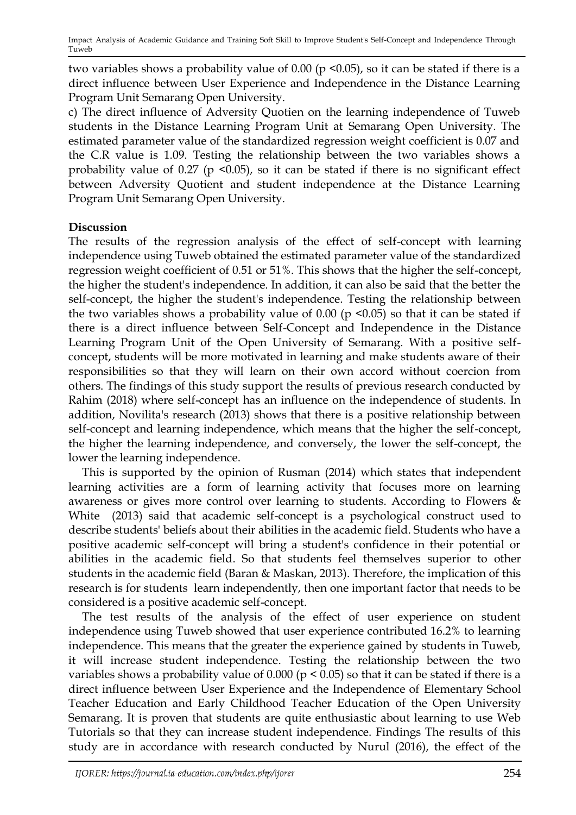two variables shows a probability value of  $0.00$  (p <0.05), so it can be stated if there is a direct influence between User Experience and Independence in the Distance Learning Program Unit Semarang Open University.

c) The direct influence of Adversity Quotien on the learning independence of Tuweb students in the Distance Learning Program Unit at Semarang Open University. The estimated parameter value of the standardized regression weight coefficient is 0.07 and the C.R value is 1.09. Testing the relationship between the two variables shows a probability value of 0.27 (p <0.05), so it can be stated if there is no significant effect between Adversity Quotient and student independence at the Distance Learning Program Unit Semarang Open University.

## **Discussion**

The results of the regression analysis of the effect of self-concept with learning independence using Tuweb obtained the estimated parameter value of the standardized regression weight coefficient of 0.51 or 51%. This shows that the higher the self-concept, the higher the student's independence. In addition, it can also be said that the better the self-concept, the higher the student's independence. Testing the relationship between the two variables shows a probability value of  $0.00$  (p <0.05) so that it can be stated if there is a direct influence between Self-Concept and Independence in the Distance Learning Program Unit of the Open University of Semarang. With a positive selfconcept, students will be more motivated in learning and make students aware of their responsibilities so that they will learn on their own accord without coercion from others. The findings of this study support the results of previous research conducted by Rahim (2018) where self-concept has an influence on the independence of students. In addition, Novilita's research (2013) shows that there is a positive relationship between self-concept and learning independence, which means that the higher the self-concept, the higher the learning independence, and conversely, the lower the self-concept, the lower the learning independence.

This is supported by the opinion of Rusman (2014) which states that independent learning activities are a form of learning activity that focuses more on learning awareness or gives more control over learning to students. According to Flowers & White (2013) said that academic self-concept is a psychological construct used to describe students' beliefs about their abilities in the academic field. Students who have a positive academic self-concept will bring a student's confidence in their potential or abilities in the academic field. So that students feel themselves superior to other students in the academic field (Baran & Maskan, 2013). Therefore, the implication of this research is for students learn independently, then one important factor that needs to be considered is a positive academic self-concept.

The test results of the analysis of the effect of user experience on student independence using Tuweb showed that user experience contributed 16.2% to learning independence. This means that the greater the experience gained by students in Tuweb, it will increase student independence. Testing the relationship between the two variables shows a probability value of  $0.000$  ( $p < 0.05$ ) so that it can be stated if there is a direct influence between User Experience and the Independence of Elementary School Teacher Education and Early Childhood Teacher Education of the Open University Semarang. It is proven that students are quite enthusiastic about learning to use Web Tutorials so that they can increase student independence. Findings The results of this study are in accordance with research conducted by Nurul (2016), the effect of the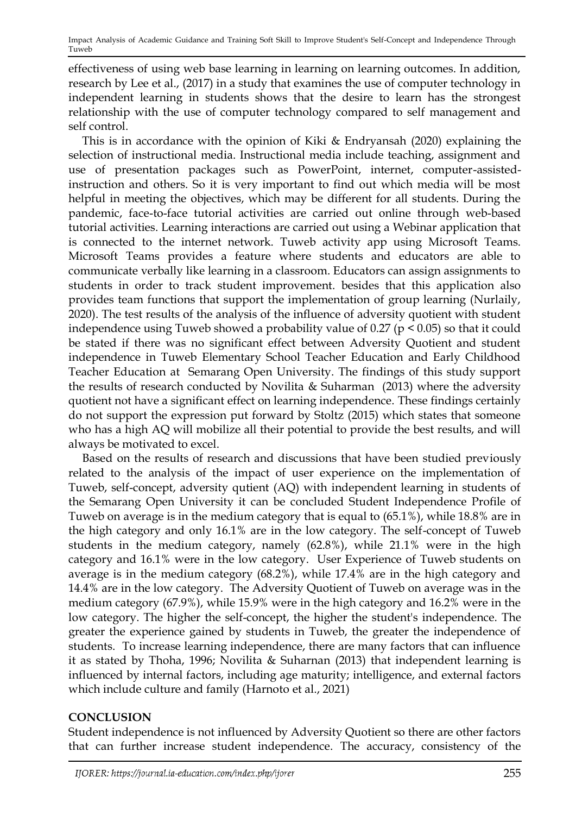effectiveness of using web base learning in learning on learning outcomes. In addition, research by Lee et al., (2017) in a study that examines the use of computer technology in independent learning in students shows that the desire to learn has the strongest relationship with the use of computer technology compared to self management and self control.

This is in accordance with the opinion of Kiki & Endryansah (2020) explaining the selection of instructional media. Instructional media include teaching, assignment and use of presentation packages such as PowerPoint, internet, computer-assistedinstruction and others. So it is very important to find out which media will be most helpful in meeting the objectives, which may be different for all students. During the pandemic, face-to-face tutorial activities are carried out online through web-based tutorial activities. Learning interactions are carried out using a Webinar application that is connected to the internet network. Tuweb activity app using Microsoft Teams. Microsoft Teams provides a feature where students and educators are able to communicate verbally like learning in a classroom. Educators can assign assignments to students in order to track student improvement. besides that this application also provides team functions that support the implementation of group learning (Nurlaily, 2020). The test results of the analysis of the influence of adversity quotient with student independence using Tuweb showed a probability value of 0.27 ( $p < 0.05$ ) so that it could be stated if there was no significant effect between Adversity Quotient and student independence in Tuweb Elementary School Teacher Education and Early Childhood Teacher Education at Semarang Open University. The findings of this study support the results of research conducted by Novilita & Suharman (2013) where the adversity quotient not have a significant effect on learning independence. These findings certainly do not support the expression put forward by Stoltz (2015) which states that someone who has a high AQ will mobilize all their potential to provide the best results, and will always be motivated to excel.

Based on the results of research and discussions that have been studied previously related to the analysis of the impact of user experience on the implementation of Tuweb, self-concept, adversity qutient (AQ) with independent learning in students of the Semarang Open University it can be concluded Student Independence Profile of Tuweb on average is in the medium category that is equal to (65.1%), while 18.8% are in the high category and only 16.1% are in the low category. The self-concept of Tuweb students in the medium category, namely (62.8%), while 21.1% were in the high category and 16.1% were in the low category. User Experience of Tuweb students on average is in the medium category (68.2%), while 17.4% are in the high category and 14.4% are in the low category. The Adversity Quotient of Tuweb on average was in the medium category (67.9%), while 15.9% were in the high category and 16.2% were in the low category. The higher the self-concept, the higher the student's independence. The greater the experience gained by students in Tuweb, the greater the independence of students. To increase learning independence, there are many factors that can influence it as stated by Thoha, 1996; Novilita & Suharnan (2013) that independent learning is influenced by internal factors, including age maturity; intelligence, and external factors which include culture and family (Harnoto et al., 2021)

## **CONCLUSION**

Student independence is not influenced by Adversity Quotient so there are other factors that can further increase student independence. The accuracy, consistency of the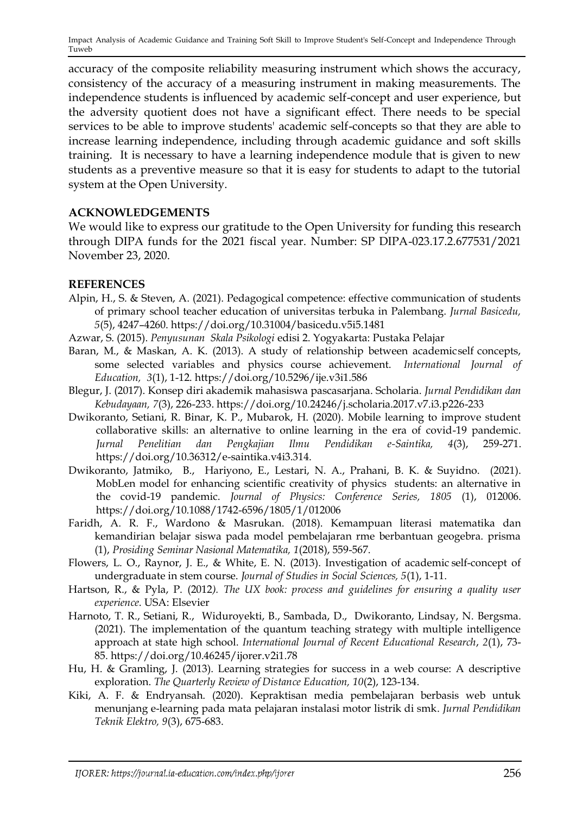accuracy of the composite reliability measuring instrument which shows the accuracy, consistency of the accuracy of a measuring instrument in making measurements. The independence students is influenced by academic self-concept and user experience, but the adversity quotient does not have a significant effect. There needs to be special services to be able to improve students' academic self-concepts so that they are able to increase learning independence, including through academic guidance and soft skills training. It is necessary to have a learning independence module that is given to new students as a preventive measure so that it is easy for students to adapt to the tutorial system at the Open University.

## **ACKNOWLEDGEMENTS**

We would like to express our gratitude to the Open University for funding this research through DIPA funds for the 2021 fiscal year. Number: SP DIPA-023.17.2.677531/2021 November 23, 2020.

## **REFERENCES**

- Alpin, H., S. & Steven, A. (2021). Pedagogical competence: effective communication of students of primary school teacher education of universitas terbuka in Palembang. *Jurnal Basicedu, 5*(5), 4247–4260. https://doi.org/10.31004/basicedu.v5i5.1481
- Azwar, S. (2015). *Penyusunan Skala Psikologi* edisi 2. Yogyakarta: Pustaka Pelajar
- Baran, M., & Maskan, A. K. (2013). A study of relationship between academicself concepts, some selected variables and physics course achievement. *International Journal of Education, 3*(1), 1-12. https://doi.org/10.5296/ije.v3i1.586
- Blegur, J. (2017). Konsep diri akademik mahasiswa pascasarjana. Scholaria. *Jurnal Pendidikan dan Kebudayaan, 7*(3), 226-233. <https://doi.org/10.24246/j.scholaria.2017.v7.i3.p226-233>
- Dwikoranto, Setiani, R. Binar, K. P., Mubarok, H. (2020). Mobile learning to improve student collaborative skills: an alternative to online learning in the era of covid-19 pandemic. *Jurnal Penelitian dan Pengkajian Ilmu Pendidikan e-Saintika, 4*(3), 259-271. https://doi.org/10.36312/e-saintika.v4i3.314.
- Dwikoranto, Jatmiko, B., Hariyono, E., Lestari, N. A., Prahani, B. K. & Suyidno. (2021). MobLen model for enhancing scientific creativity of physics students: an alternative in the covid-19 pandemic. *Journal of Physics: Conference Series, 1805* (1), 012006. https://doi.org/10.1088/1742-6596/1805/1/012006
- Faridh, A. R. F., Wardono & Masrukan. (2018). Kemampuan literasi matematika dan kemandirian belajar siswa pada model pembelajaran rme berbantuan geogebra. prisma (1), *Prosiding Seminar Nasional Matematika, 1*(2018), 559-567.
- Flowers, L. O., Raynor, J. E., & White, E. N. (2013). Investigation of academic self-concept of undergraduate in stem course. *Journal of Studies in Social Sciences, 5*(1), 1-11.
- Hartson, R., & Pyla, P. (2012*). The UX book: process and guidelines for ensuring a quality user experience*. USA: Elsevier
- Harnoto, T. R., Setiani, R., Widuroyekti, B., Sambada, D., Dwikoranto, Lindsay, N. Bergsma. (2021). The implementation of the quantum teaching strategy with multiple intelligence approach at state high school. *International Journal of Recent Educational Research*, *2*(1), 73- 85. https://doi.org/10.46245/ijorer.v2i1.78
- Hu, H. & Gramling, J. (2013). Learning strategies for success in a web course: A descriptive exploration. *The Quarterly Review of Distance Education, 10*(2), 123-134.
- Kiki, A. F. & Endryansah. (2020). Kepraktisan media pembelajaran berbasis web untuk menunjang e-learning pada mata pelajaran instalasi motor listrik di smk. *Jurnal Pendidikan Teknik Elektro, 9*(3), 675-683.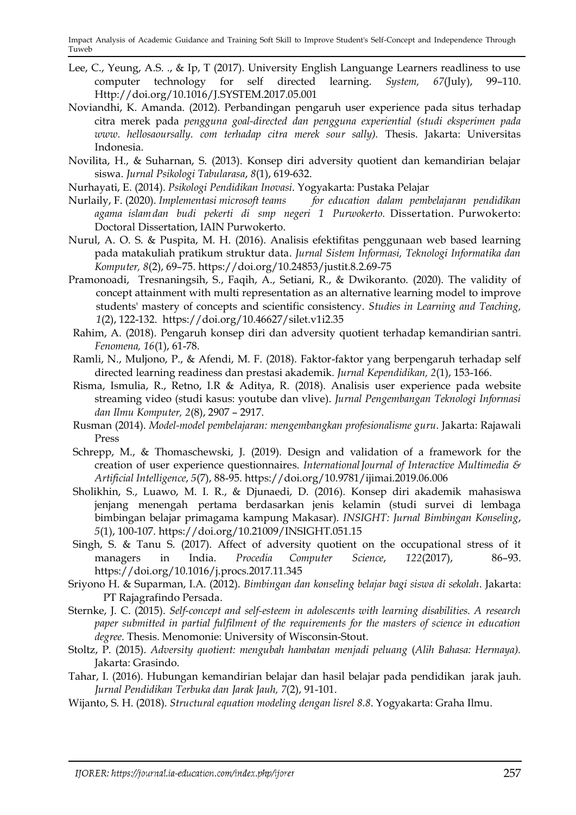- Lee, C., Yeung, A.S. ., & Ip, T (2017). University English Languange Learners readliness to use computer technology for self directed learning. *System, 67*(July), 99–110. [Http://doi.org/10.1016/J.SYSTEM.2017.05.001](http://doi.org/10.1016/J.SYSTEM.2017.05.001)
- Noviandhi, K. Amanda. (2012). Perbandingan pengaruh user experience pada situs terhadap citra merek pada *pengguna goal-directed dan pengguna experiential (studi eksperimen pada www. hellosaoursally. com terhadap citra merek sour sally).* Thesis. Jakarta: Universitas Indonesia.
- Novilita, H., & Suharnan, S. (2013). Konsep diri adversity quotient dan kemandirian belajar siswa. *Jurnal Psikologi Tabularasa*, *8*(1), 619-632.
- Nurhayati, E. (2014). *Psikologi Pendidikan Inovasi*. Yogyakarta: Pustaka Pelajar
- Nurlaily, F. (2020). *Implementasi microsoft teams for education dalam pembelajaran pendidikan agama islamdan budi pekerti di smp negeri 1 Purwokerto.* Dissertation. Purwokerto: Doctoral Dissertation, IAIN Purwokerto.
- Nurul, A. O. S. & Puspita, M. H. (2016). Analisis efektifitas penggunaan web based learning pada matakuliah pratikum struktur data. *Jurnal Sistem Informasi, Teknologi Informatika dan Komputer, 8*(2), 69–75.<https://doi.org/10.24853/justit.8.2.69-75>
- Pramonoadi, Tresnaningsih, S., Faqih, A., Setiani, R., & Dwikoranto. (2020). The validity of concept attainment with multi representation as an alternative learning model to improve students' mastery of concepts and scientific consistency. *Studies in Learning and Teaching, 1*(2), 122-132. https://doi.org/10.46627/silet.v1i2.35
- Rahim, A. (2018). Pengaruh konsep diri dan adversity quotient terhadap kemandirian santri. *Fenomena, 16*(1), 61-78.
- Ramli, N., Muljono, P., & Afendi, M. F. (2018). Faktor-faktor yang berpengaruh terhadap self directed learning readiness dan prestasi akademik. *Jurnal Kependidikan, 2*(1), 153-166.
- Risma, Ismulia, R., Retno, I.R & Aditya, R. (2018). Analisis user experience pada website streaming video (studi kasus: youtube dan vlive). *Jurnal Pengembangan Teknologi Informasi dan Ilmu Komputer, 2*(8), 2907 – 2917.
- Rusman (2014). *Model-model pembelajaran: mengembangkan profesionalisme guru*. Jakarta: Rajawali Press
- Schrepp, M., & Thomaschewski, J. (2019). Design and validation of a framework for the creation of user experience questionnaires. *InternationalJournal of Interactive Multimedia & Artificial Intelligence*, *5*(7), 88-95. https://doi.org/10.9781/ijimai.2019.06.006
- Sholikhin, S., Luawo, M. I. R., & Djunaedi, D. (2016). Konsep diri akademik mahasiswa jenjang menengah pertama berdasarkan jenis kelamin (studi survei di lembaga bimbingan belajar primagama kampung Makasar). *INSIGHT: Jurnal Bimbingan Konseling*, *5*(1), 100-107. <https://doi.org/10.21009/INSIGHT.051.15>
- Singh, S. & Tanu S. (2017). Affect of adversity quotient on the occupational stress of it managers in India. *Procedia Computer Science*, *122*(2017), 86–93. <https://doi.org/10.1016/j.procs.2017.11.345>
- Sriyono H. & Suparman, I.A. (2012). *Bimbingan dan konseling belajar bagi siswa di sekolah*. Jakarta: PT Rajagrafindo Persada.
- Sternke, J. C. (2015). *Self-concept and self-esteem in adolescents with learning disabilities. A research paper submitted in partial fulfilment of the requirements for the masters of science in education degree*. Thesis. Menomonie: University of Wisconsin-Stout.
- Stoltz, P. (2015). *Adversity quotient: mengubah hambatan menjadi peluang* (*Alih Bahasa: Hermaya).*  Jakarta: Grasindo.
- Tahar, I. (2016). Hubungan kemandirian belajar dan hasil belajar pada pendidikan jarak jauh. *Jurnal Pendidikan Terbuka dan Jarak Jauh, 7*(2), 91-101.
- Wijanto, S. H. (2018). *Structural equation modeling dengan lisrel 8.8*. Yogyakarta: Graha Ilmu.